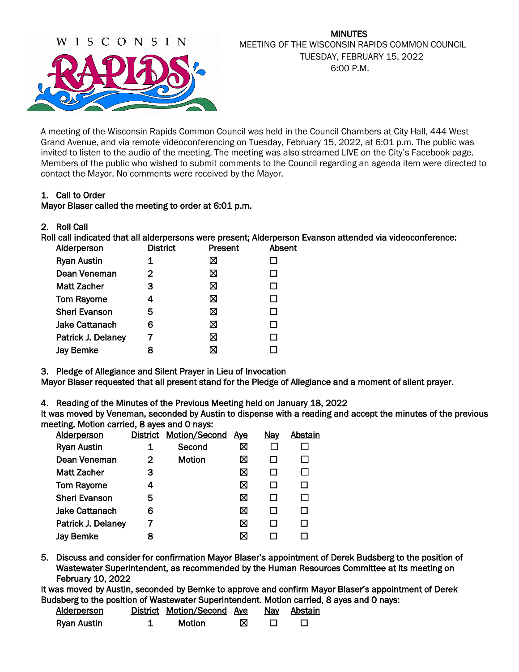

# MINUTES MEETING OF THE WISCONSIN RAPIDS COMMON COUNCIL TUESDAY, FEBRUARY 15, 2022 6:00 P.M.

A meeting of the Wisconsin Rapids Common Council was held in the Council Chambers at City Hall, 444 West Grand Avenue, and via remote videoconferencing on Tuesday, February 15, 2022, at 6:01 p.m. The public was invited to listen to the audio of the meeting. The meeting was also streamed LIVE on the City's Facebook page. Members of the public who wished to submit comments to the Council regarding an agenda item were directed to contact the Mayor. No comments were received by the Mayor.

# 1. Call to Order

# Mayor Blaser called the meeting to order at 6:01 p.m.

2. Roll Call

Roll call indicated that all alderpersons were present; Alderperson Evanson attended via videoconference:

| <b>Alderperson</b>    | <b>District</b> | Present | Absent |
|-----------------------|-----------------|---------|--------|
| <b>Ryan Austin</b>    | 1               | ⊠       |        |
| Dean Veneman          | $\mathbf{2}$    | ⊠       |        |
| <b>Matt Zacher</b>    | 3               | ⊠       |        |
| <b>Tom Rayome</b>     | 4               | ⊠       |        |
| <b>Sheri Evanson</b>  | 5               | ⊠       |        |
| <b>Jake Cattanach</b> | 6               | ⊠       |        |
| Patrick J. Delaney    | 7               | ⊠       | ΙI     |
| <b>Jay Bemke</b>      |                 | ⊠       |        |
|                       |                 |         |        |

3. Pledge of Allegiance and Silent Prayer in Lieu of Invocation

Mayor Blaser requested that all present stand for the Pledge of Allegiance and a moment of silent prayer.

4. Reading of the Minutes of the Previous Meeting held on January 18, 2022

It was moved by Veneman, seconded by Austin to dispense with a reading and accept the minutes of the previous meeting. Motion carried, 8 ayes and 0 nays:

| <b>Alderperson</b>    | <b>District</b> | <b>Motion/Second</b> | <u>Ave</u> | <u>Nay</u> | Abstain |
|-----------------------|-----------------|----------------------|------------|------------|---------|
| <b>Ryan Austin</b>    |                 | Second               | ⊠          |            |         |
| Dean Veneman          | 2               | <b>Motion</b>        | ⊠          |            |         |
| <b>Matt Zacher</b>    | 3               |                      | ⊠          |            |         |
| <b>Tom Rayome</b>     | 4               |                      | ⊠          |            | П       |
| <b>Sheri Evanson</b>  | 5               |                      | ⊠          |            |         |
| <b>Jake Cattanach</b> | 6               |                      | ⊠          |            |         |
| Patrick J. Delaney    |                 |                      | ⊠          |            |         |
| <b>Jay Bemke</b>      | 8               |                      | ⊠          |            |         |
|                       |                 |                      |            |            |         |

5. Discuss and consider for confirmation Mayor Blaser's appointment of Derek Budsberg to the position of Wastewater Superintendent, as recommended by the Human Resources Committee at its meeting on February 10, 2022

It was moved by Austin, seconded by Bemke to approve and confirm Mayor Blaser's appointment of Derek Budsberg to the position of Wastewater Superintendent. Motion carried, 8 ayes and 0 nays:

| Alderperson | District Motion/Second Ave |  | <u>Nay Abstain</u> |
|-------------|----------------------------|--|--------------------|
| Ryan Austin | <b>Motion</b>              |  |                    |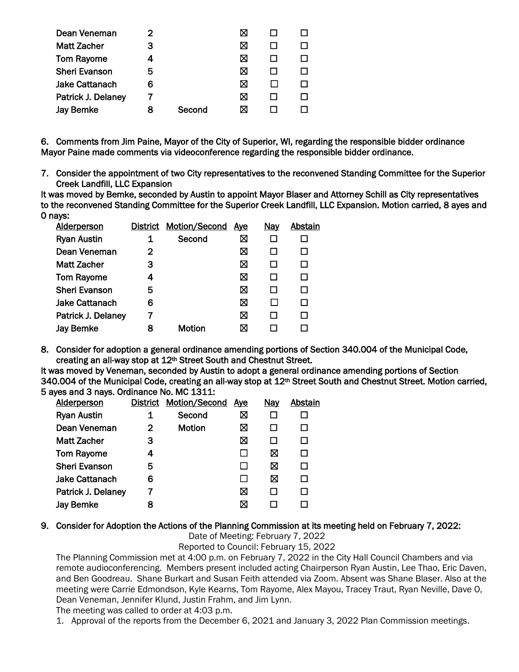| Dean Veneman          |   |        |   |  |
|-----------------------|---|--------|---|--|
| <b>Matt Zacher</b>    | з |        | ⋈ |  |
| <b>Tom Rayome</b>     |   |        | ⋈ |  |
| <b>Sheri Evanson</b>  | 5 |        | ⋈ |  |
| <b>Jake Cattanach</b> | 6 |        | ⋈ |  |
| Patrick J. Delaney    |   |        | ⋈ |  |
| <b>Jay Bemke</b>      | 8 | Second |   |  |
|                       |   |        |   |  |

6. Comments from Jim Paine, Mayor of the City of Superior, WI, regarding the responsible bidder ordinance Mayor Paine made comments via videoconference regarding the responsible bidder ordinance.

7. Consider the appointment of two City representatives to the reconvened Standing Committee for the Superior Creek Landfill, LLC Expansion

It was moved by Bemke, seconded by Austin to appoint Mayor Blaser and Attorney Schill as City representatives to the reconvened Standing Committee for the Superior Creek Landfill, LLC Expansion. Motion carried, 8 ayes and 0 nays:

| <b>Alderperson</b>   |   | <b>District Motion/Second</b> | <u>Ave</u> | <u>Nay</u> | Abstain |
|----------------------|---|-------------------------------|------------|------------|---------|
| <b>Ryan Austin</b>   |   | Second                        | ⊠          |            |         |
| Dean Veneman         | 2 |                               | ⊠          |            |         |
| <b>Matt Zacher</b>   | 3 |                               | ⊠          |            |         |
| <b>Tom Rayome</b>    | 4 |                               | ⊠          |            |         |
| <b>Sheri Evanson</b> | 5 |                               | ⊠          | H          |         |
| Jake Cattanach       | 6 |                               | ⊠          |            |         |
| Patrick J. Delaney   |   |                               | ⊠          |            |         |
| <b>Jay Bemke</b>     | 8 | Motion                        | ⊠          |            |         |
|                      |   |                               |            |            |         |

8. Consider for adoption a general ordinance amending portions of Section 340.004 of the Municipal Code, creating an all-way stop at 12th Street South and Chestnut Street.

It was moved by Veneman, seconded by Austin to adopt a general ordinance amending portions of Section 340.004 of the Municipal Code, creating an all-way stop at 12<sup>th</sup> Street South and Chestnut Street. Motion carried, 5 ayes and 3 nays. Ordinance No. MC 1311:

| <b>Alderperson</b>    |   | District Motion/Second | <u>Aye</u> | <u>Nay</u> | Abstain |
|-----------------------|---|------------------------|------------|------------|---------|
| <b>Ryan Austin</b>    |   | Second                 | ⊠          |            |         |
| Dean Veneman          | 2 | Motion                 | ⊠          |            |         |
| Matt Zacher           | З |                        | X          |            |         |
| <b>Tom Rayome</b>     | 4 |                        |            | ⊠          |         |
| <b>Sheri Evanson</b>  | 5 |                        |            | ⊠          |         |
| <b>Jake Cattanach</b> | 6 |                        |            | ⊠          |         |
| Patrick J. Delaney    |   |                        | ⊠          |            |         |
| <b>Jay Bemke</b>      |   |                        | ⊠          |            |         |

#### 9. Consider for Adoption the Actions of the Planning Commission at its meeting held on February 7, 2022:

Date of Meeting: February 7, 2022

Reported to Council: February 15, 2022

The Planning Commission met at 4:00 p.m. on February 7, 2022 in the City Hall Council Chambers and via remote audioconferencing. Members present included acting Chairperson Ryan Austin, Lee Thao, Eric Daven, and Ben Goodreau. Shane Burkart and Susan Feith attended via Zoom. Absent was Shane Blaser. Also at the meeting were Carrie Edmondson, Kyle Kearns, Tom Rayome, Alex Mayou, Tracey Traut, Ryan Neville, Dave O, Dean Veneman, Jennifer Klund, Justin Frahm, and Jim Lynn.

The meeting was called to order at 4:03 p.m.

1. Approval of the reports from the December 6, 2021 and January 3, 2022 Plan Commission meetings.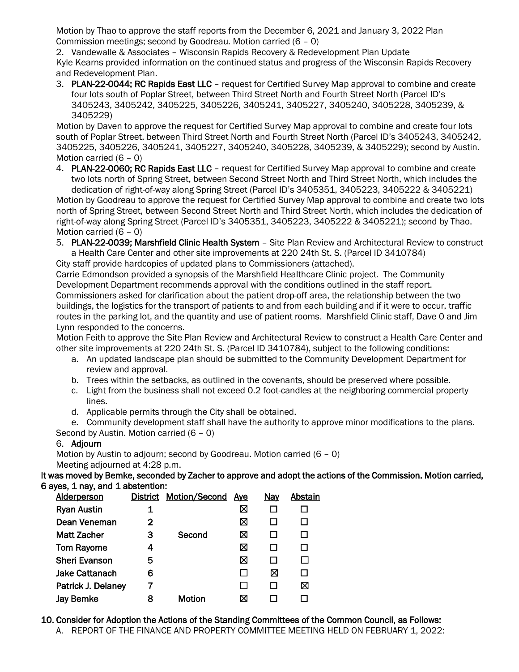Motion by Thao to approve the staff reports from the December 6, 2021 and January 3, 2022 Plan Commission meetings; second by Goodreau. Motion carried (6 – 0)

2. Vandewalle & Associates – Wisconsin Rapids Recovery & Redevelopment Plan Update Kyle Kearns provided information on the continued status and progress of the Wisconsin Rapids Recovery and Redevelopment Plan.

3. PLAN-22-0044; RC Rapids East LLC – request for Certified Survey Map approval to combine and create four lots south of Poplar Street, between Third Street North and Fourth Street North (Parcel ID's 3405243, 3405242, 3405225, 3405226, 3405241, 3405227, 3405240, 3405228, 3405239, & 3405229)

Motion by Daven to approve the request for Certified Survey Map approval to combine and create four lots south of Poplar Street, between Third Street North and Fourth Street North (Parcel ID's 3405243, 3405242, 3405225, 3405226, 3405241, 3405227, 3405240, 3405228, 3405239, & 3405229); second by Austin. Motion carried (6 – 0)

4. PLAN-22-0060; RC Rapids East LLC – request for Certified Survey Map approval to combine and create two lots north of Spring Street, between Second Street North and Third Street North, which includes the dedication of right-of-way along Spring Street (Parcel ID's 3405351, 3405223, 3405222 & 3405221)

Motion by Goodreau to approve the request for Certified Survey Map approval to combine and create two lots north of Spring Street, between Second Street North and Third Street North, which includes the dedication of right-of-way along Spring Street (Parcel ID's 3405351, 3405223, 3405222 & 3405221); second by Thao. Motion carried (6 – 0)

5. PLAN-22-0039; Marshfield Clinic Health System – Site Plan Review and Architectural Review to construct a Health Care Center and other site improvements at 220 24th St. S. (Parcel ID 3410784)

City staff provide hardcopies of updated plans to Commissioners (attached).

Carrie Edmondson provided a synopsis of the Marshfield Healthcare Clinic project. The Community Development Department recommends approval with the conditions outlined in the staff report. Commissioners asked for clarification about the patient drop-off area, the relationship between the two buildings, the logistics for the transport of patients to and from each building and if it were to occur, traffic routes in the parking lot, and the quantity and use of patient rooms. Marshfield Clinic staff, Dave 0 and Jim Lynn responded to the concerns.

Motion Feith to approve the Site Plan Review and Architectural Review to construct a Health Care Center and other site improvements at 220 24th St. S. (Parcel ID 3410784), subject to the following conditions:

- a. An updated landscape plan should be submitted to the Community Development Department for review and approval.
- b. Trees within the setbacks, as outlined in the covenants, should be preserved where possible.
- c. Light from the business shall not exceed 0.2 foot-candles at the neighboring commercial property lines.
- d. Applicable permits through the City shall be obtained.
- e. Community development staff shall have the authority to approve minor modifications to the plans.

Second by Austin. Motion carried (6 – 0)

# 6. Adjourn

Motion by Austin to adjourn; second by Goodreau. Motion carried (6 – 0) Meeting adjourned at 4:28 p.m.

It was moved by Bemke, seconded by Zacher to approve and adopt the actions of the Commission. Motion carried, 6 ayes, 1 nay, and 1 abstention:

| <b>Alderperson</b>   |   | <b>District Motion/Second</b> | <u>Ave</u> | <u>Nay</u> | Abstain |
|----------------------|---|-------------------------------|------------|------------|---------|
| <b>Ryan Austin</b>   |   |                               | ⊠          |            |         |
| Dean Veneman         | 2 |                               | ⊠          |            |         |
| <b>Matt Zacher</b>   | з | Second                        | ⊠          |            |         |
| <b>Tom Rayome</b>    | 4 |                               | ⊠          |            |         |
| <b>Sheri Evanson</b> | 5 |                               | ⊠          |            |         |
| Jake Cattanach       | 6 |                               |            | ⊠          |         |
| Patrick J. Delaney   |   |                               |            |            | ⊠       |
| Jay Bemke            | 8 | Motion                        | ⊠          |            |         |
|                      |   |                               |            |            |         |

10. Consider for Adoption the Actions of the Standing Committees of the Common Council, as Follows: A. REPORT OF THE FINANCE AND PROPERTY COMMITTEE MEETING HELD ON FEBRUARY 1, 2022: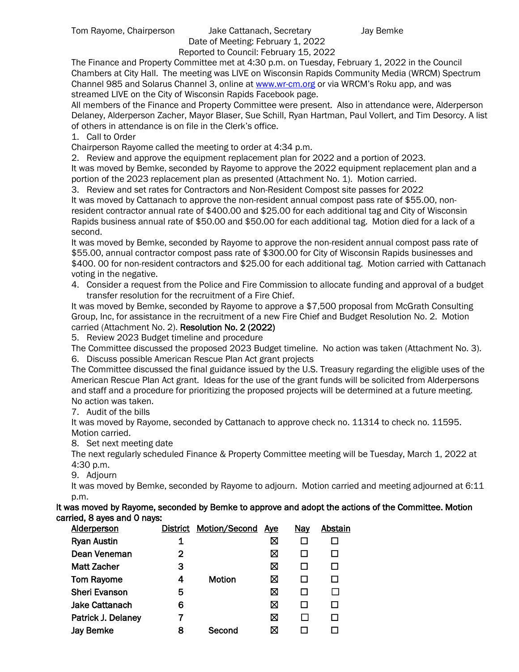#### Tom Rayome, Chairperson Jake Cattanach, Secretary Jay Bemke Date of Meeting: February 1, 2022 Reported to Council: February 15, 2022

The Finance and Property Committee met at 4:30 p.m. on Tuesday, February 1, 2022 in the Council Chambers at City Hall. The meeting was LIVE on Wisconsin Rapids Community Media (WRCM) Spectrum Channel 985 and Solarus Channel 3, online a[t www.wr-cm.org](http://www.wr-cm.org/) or via WRCM's Roku app, and was streamed LIVE on the City of Wisconsin Rapids Facebook page.

All members of the Finance and Property Committee were present. Also in attendance were, Alderperson Delaney, Alderperson Zacher, Mayor Blaser, Sue Schill, Ryan Hartman, Paul Vollert, and Tim Desorcy. A list of others in attendance is on file in the Clerk's office.

1. Call to Order

Chairperson Rayome called the meeting to order at 4:34 p.m.

2. Review and approve the equipment replacement plan for 2022 and a portion of 2023. It was moved by Bemke, seconded by Rayome to approve the 2022 equipment replacement plan and a portion of the 2023 replacement plan as presented (Attachment No. 1). Motion carried.

3. Review and set rates for Contractors and Non-Resident Compost site passes for 2022

It was moved by Cattanach to approve the non-resident annual compost pass rate of \$55.00, nonresident contractor annual rate of \$400.00 and \$25.00 for each additional tag and City of Wisconsin Rapids business annual rate of \$50.00 and \$50.00 for each additional tag. Motion died for a lack of a second.

It was moved by Bemke, seconded by Rayome to approve the non-resident annual compost pass rate of \$55.00, annual contractor compost pass rate of \$300.00 for City of Wisconsin Rapids businesses and \$400. 00 for non-resident contractors and \$25.00 for each additional tag. Motion carried with Cattanach voting in the negative.

4. Consider a request from the Police and Fire Commission to allocate funding and approval of a budget transfer resolution for the recruitment of a Fire Chief.

It was moved by Bemke, seconded by Rayome to approve a \$7,500 proposal from McGrath Consulting Group, Inc, for assistance in the recruitment of a new Fire Chief and Budget Resolution No. 2. Motion carried (Attachment No. 2). Resolution No. 2 (2022)

5. Review 2023 Budget timeline and procedure

The Committee discussed the proposed 2023 Budget timeline. No action was taken (Attachment No. 3). 6. Discuss possible American Rescue Plan Act grant projects

The Committee discussed the final guidance issued by the U.S. Treasury regarding the eligible uses of the American Rescue Plan Act grant. Ideas for the use of the grant funds will be solicited from Alderpersons and staff and a procedure for prioritizing the proposed projects will be determined at a future meeting. No action was taken.

7. Audit of the bills

It was moved by Rayome, seconded by Cattanach to approve check no. 11314 to check no. 11595. Motion carried.

8. Set next meeting date

The next regularly scheduled Finance & Property Committee meeting will be Tuesday, March 1, 2022 at 4:30 p.m.

9. Adjourn

It was moved by Bemke, seconded by Rayome to adjourn. Motion carried and meeting adjourned at 6:11 p.m.

It was moved by Rayome, seconded by Bemke to approve and adopt the actions of the Committee. Motion carried, 8 ayes and 0 nays:

| <b>Alderperson</b>    | <b>District</b> | Motion/Second | <u>Aye</u> | <b>Nay</b> | Abstain |
|-----------------------|-----------------|---------------|------------|------------|---------|
| <b>Ryan Austin</b>    | 1               |               | ⊠          |            |         |
| Dean Veneman          | 2               |               | ⊠          |            |         |
| <b>Matt Zacher</b>    | 3               |               | ⊠          |            | П       |
| <b>Tom Rayome</b>     | 4               | <b>Motion</b> | ⊠          |            | П       |
| <b>Sheri Evanson</b>  | 5               |               | ⊠          |            |         |
| <b>Jake Cattanach</b> | 6               |               | ⊠          |            | П       |
| Patrick J. Delaney    |                 |               | ⊠          |            | П       |
| <b>Jay Bemke</b>      | 8               | Second        | ⊠          |            |         |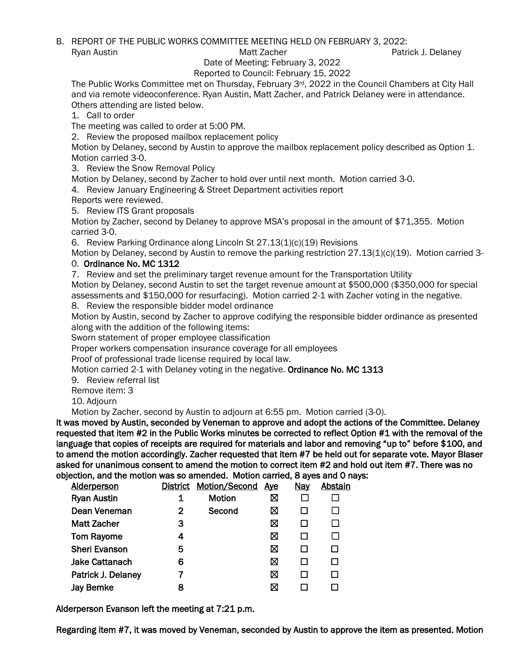B. REPORT OF THE PUBLIC WORKS COMMITTEE MEETING HELD ON FEBRUARY 3, 2022:

Ryan Austin **Matt Zacher** Patrick J. Delaney Matt Zacher **Patrick J. Delaney** 

Date of Meeting: February 3, 2022

Reported to Council: February 15, 2022

The Public Works Committee met on Thursday, February 3rd, 2022 in the Council Chambers at City Hall and via remote videoconference. Ryan Austin, Matt Zacher, and Patrick Delaney were in attendance. Others attending are listed below.

1. Call to order

The meeting was called to order at 5:00 PM.

2. Review the proposed mailbox replacement policy

Motion by Delaney, second by Austin to approve the mailbox replacement policy described as Option 1. Motion carried 3-0.

3. Review the Snow Removal Policy

Motion by Delaney, second by Zacher to hold over until next month. Motion carried 3-0.

4. Review January Engineering & Street Department activities report

Reports were reviewed.

5. Review ITS Grant proposals

Motion by Zacher, second by Delaney to approve MSA's proposal in the amount of \$71,355. Motion carried 3-0.

6. Review Parking Ordinance along Lincoln St 27.13(1)(c)(19) Revisions

Motion by Delaney, second by Austin to remove the parking restriction 27.13(1)(c)(19). Motion carried 3- 0. Ordinance No. MC 1312

7. Review and set the preliminary target revenue amount for the Transportation Utility

Motion by Delaney, second Austin to set the target revenue amount at \$500,000 (\$350,000 for special assessments and \$150,000 for resurfacing). Motion carried 2-1 with Zacher voting in the negative.

8. Review the responsible bidder model ordinance

Motion by Austin, second by Zacher to approve codifying the responsible bidder ordinance as presented along with the addition of the following items:

Sworn statement of proper employee classification

Proper workers compensation insurance coverage for all employees

Proof of professional trade license required by local law.

Motion carried 2-1 with Delaney voting in the negative. Ordinance No. MC 1313

9. Review referral list

Remove item: 3

10. Adjourn

Motion by Zacher, second by Austin to adjourn at 6:55 pm. Motion carried (3-0).

It was moved by Austin, seconded by Veneman to approve and adopt the actions of the Committee. Delaney requested that item #2 in the Public Works minutes be corrected to reflect Option #1 with the removal of the language that copies of receipts are required for materials and labor and removing "up to" before \$100, and to amend the motion accordingly. Zacher requested that item #7 be held out for separate vote. Mayor Blaser asked for unanimous consent to amend the motion to correct item #2 and hold out item #7. There was no

objection, and the motion was so amended. Motion carried, 8 ayes and 0 nays:<br>Aldernerson District Motion/Second Ave Nav Abstain District Motion/Second Ave

| Algerperson           | <b>DISTRICT</b> | <b>MOTION/SECOND</b> | Aye | <u>ivay</u> | ADSTAI |
|-----------------------|-----------------|----------------------|-----|-------------|--------|
| <b>Ryan Austin</b>    | 1               | Motion               | ⊠   |             |        |
| Dean Veneman          | 2               | Second               | ⊠   |             |        |
| <b>Matt Zacher</b>    | 3               |                      | ⊠   |             |        |
| <b>Tom Rayome</b>     | 4               |                      | ⊠   |             |        |
| <b>Sheri Evanson</b>  | 5               |                      | ⊠   |             |        |
| <b>Jake Cattanach</b> | 6               |                      | ⊠   |             |        |
| Patrick J. Delaney    |                 |                      | ⊠   |             |        |
| <b>Jay Bemke</b>      | 8               |                      | ⊠   |             |        |
|                       |                 |                      |     |             |        |

Alderperson Evanson left the meeting at 7:21 p.m.

Regarding item #7, it was moved by Veneman, seconded by Austin to approve the item as presented. Motion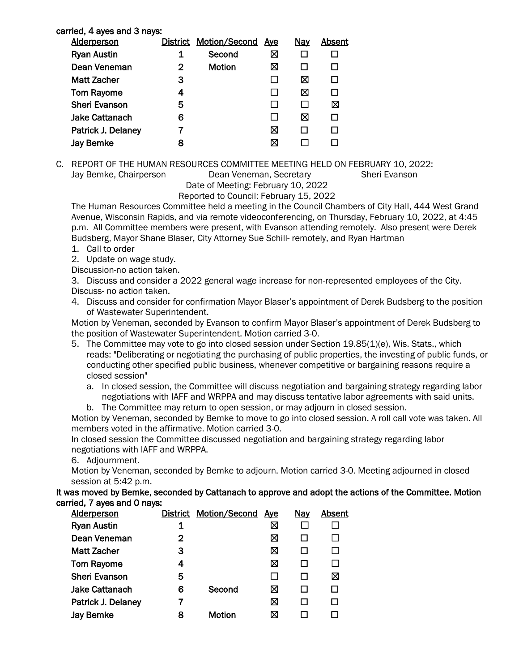| carried, 4 ayes and 3 nays: |                 |                      |     |            |        |
|-----------------------------|-----------------|----------------------|-----|------------|--------|
| <b>Alderperson</b>          | <b>District</b> | <b>Motion/Second</b> | Aye | <u>Nav</u> | Absent |
| <b>Ryan Austin</b>          | 1               | Second               | ⊠   |            |        |
| Dean Veneman                | 2               | <b>Motion</b>        | ⊠   |            |        |
| Matt Zacher                 | 3               |                      |     | ⊠          |        |
| <b>Tom Rayome</b>           | 4               |                      |     | ⊠          |        |
| <b>Sheri Evanson</b>        | 5               |                      |     |            | ⊠      |
| <b>Jake Cattanach</b>       | 6               |                      |     | ⊠          |        |
| Patrick J. Delaney          |                 |                      | ⊠   |            |        |
| Jay Bemke                   | 8               |                      |     |            |        |
|                             |                 |                      |     |            |        |

C. REPORT OF THE HUMAN RESOURCES COMMITTEE MEETING HELD ON FEBRUARY 10, 2022: Jay Bemke, Chairperson Dean Veneman, Secretary Sheri Evanson Date of Meeting: February 10, 2022

Reported to Council: February 15, 2022

The Human Resources Committee held a meeting in the Council Chambers of City Hall, 444 West Grand Avenue, Wisconsin Rapids, and via remote videoconferencing, on Thursday, February 10, 2022, at 4:45 p.m. All Committee members were present, with Evanson attending remotely. Also present were Derek Budsberg, Mayor Shane Blaser, City Attorney Sue Schill- remotely, and Ryan Hartman

- 1. Call to order
- 2. Update on wage study.

Discussion-no action taken.

3. Discuss and consider a 2022 general wage increase for non-represented employees of the City. Discuss- no action taken.

4. Discuss and consider for confirmation Mayor Blaser's appointment of Derek Budsberg to the position of Wastewater Superintendent.

Motion by Veneman, seconded by Evanson to confirm Mayor Blaser's appointment of Derek Budsberg to the position of Wastewater Superintendent. Motion carried 3-0.

- 5. The Committee may vote to go into closed session under Section 19.85(1)(e), Wis. Stats., which reads: "Deliberating or negotiating the purchasing of public properties, the investing of public funds, or conducting other specified public business, whenever competitive or bargaining reasons require a closed session"
	- a. In closed session, the Committee will discuss negotiation and bargaining strategy regarding labor negotiations with IAFF and WRPPA and may discuss tentative labor agreements with said units. b. The Committee may return to open session, or may adjourn in closed session.

Motion by Veneman, seconded by Bemke to move to go into closed session. A roll call vote was taken. All members voted in the affirmative. Motion carried 3-0.

In closed session the Committee discussed negotiation and bargaining strategy regarding labor negotiations with IAFF and WRPPA.

6. Adjournment.

Motion by Veneman, seconded by Bemke to adjourn. Motion carried 3-0. Meeting adjourned in closed session at 5:42 p.m.

It was moved by Bemke, seconded by Cattanach to approve and adopt the actions of the Committee. Motion carried, 7 ayes and 0 nays:

| <b>Alderperson</b>    |   | <b>District Motion/Second</b> | <u>Aye</u> | <b>Nay</b> | <b>Absent</b> |
|-----------------------|---|-------------------------------|------------|------------|---------------|
| <b>Ryan Austin</b>    | 1 |                               | ⊠          |            |               |
| Dean Veneman          | 2 |                               | ⊠          |            |               |
| <b>Matt Zacher</b>    | 3 |                               | ⊠          |            |               |
| <b>Tom Rayome</b>     | 4 |                               | ⊠          |            |               |
| <b>Sheri Evanson</b>  | 5 |                               |            |            | ⊠             |
| <b>Jake Cattanach</b> | 6 | Second                        | ⊠          |            |               |
| Patrick J. Delaney    |   |                               | ⊠          |            |               |
| <b>Jay Bemke</b>      | 8 | <b>Motion</b>                 | ⋈          |            |               |
|                       |   |                               |            |            |               |